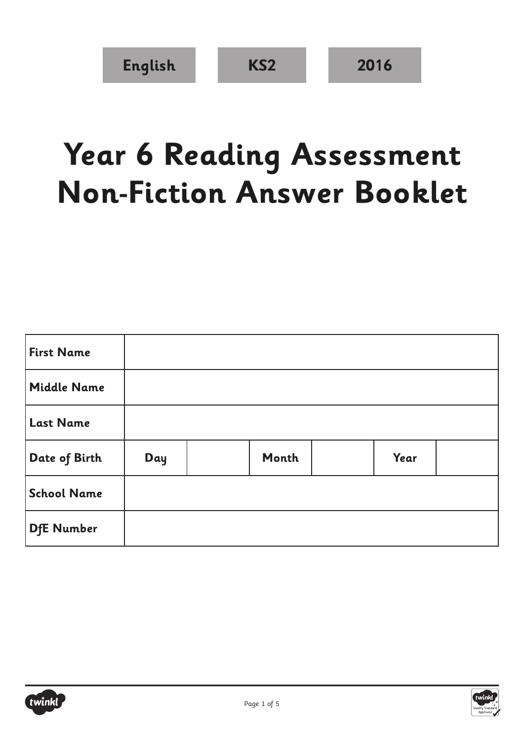## **Year 6 Reading Assessment Non-Fiction Answer Booklet**

| <b>First Name</b>  |     |       |      |  |
|--------------------|-----|-------|------|--|
| <b>Middle Name</b> |     |       |      |  |
| <b>Last Name</b>   |     |       |      |  |
| Date of Birth      | Day | Month | Year |  |
| <b>School Name</b> |     |       |      |  |
| <b>DfE Number</b>  |     |       |      |  |



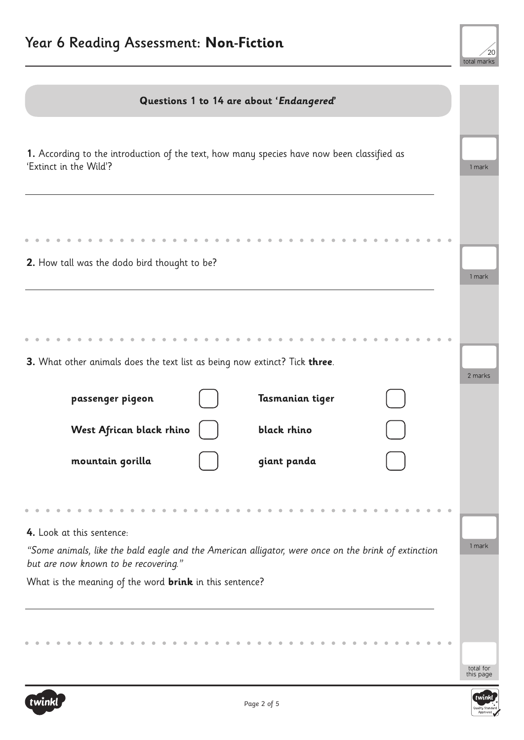

| Questions 1 to 14 are about 'Endangered'                                                                                                    |                        |
|---------------------------------------------------------------------------------------------------------------------------------------------|------------------------|
| 1. According to the introduction of the text, how many species have now been classified as<br>'Extinct in the Wild'?                        | 1 mark                 |
| 2. How tall was the dodo bird thought to be?                                                                                                | 1 mark                 |
| 3. What other animals does the text list as being now extinct? Tick three.                                                                  | 2 marks                |
| Tasmanian tiger<br>passenger pigeon<br>West African black rhino<br>black rhino                                                              |                        |
| mountain gorilla<br>giant panda                                                                                                             |                        |
|                                                                                                                                             |                        |
| 4. Look at this sentence:                                                                                                                   |                        |
| "Some animals, like the bald eagle and the American alligator, were once on the brink of extinction<br>but are now known to be recovering." | 1 mark                 |
| What is the meaning of the word <b>brink</b> in this sentence?                                                                              |                        |
|                                                                                                                                             |                        |
|                                                                                                                                             | total for<br>this page |

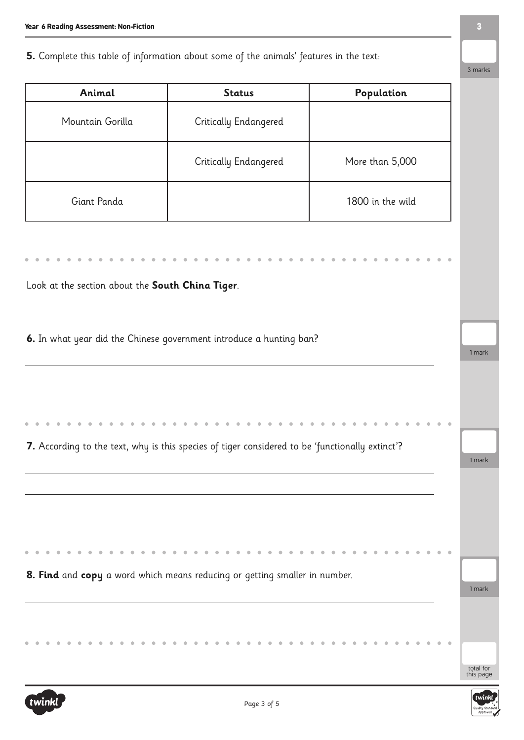## **5.** Complete this table of information about some of the animals' features in the text:

| Animal                                           | <b>Status</b>                                                                                   | Population       |
|--------------------------------------------------|-------------------------------------------------------------------------------------------------|------------------|
| Mountain Gorilla                                 | Critically Endangered                                                                           |                  |
|                                                  | Critically Endangered                                                                           | More than 5,000  |
| Giant Panda                                      |                                                                                                 | 1800 in the wild |
|                                                  |                                                                                                 |                  |
|                                                  |                                                                                                 |                  |
| Look at the section about the South China Tiger. |                                                                                                 |                  |
|                                                  |                                                                                                 |                  |
|                                                  |                                                                                                 |                  |
|                                                  | 6. In what year did the Chinese government introduce a hunting ban?                             |                  |
|                                                  |                                                                                                 | 1 mark           |
|                                                  |                                                                                                 |                  |
|                                                  |                                                                                                 |                  |
|                                                  |                                                                                                 |                  |
|                                                  |                                                                                                 |                  |
|                                                  | 7. According to the text, why is this species of tiger considered to be 'functionally extinct'? |                  |
|                                                  |                                                                                                 | 1 mark           |
|                                                  |                                                                                                 |                  |
|                                                  |                                                                                                 |                  |
|                                                  |                                                                                                 |                  |
|                                                  |                                                                                                 |                  |
|                                                  |                                                                                                 |                  |
|                                                  | 8. Find and copy a word which means reducing or getting smaller in number.                      | 1 mark           |
|                                                  |                                                                                                 |                  |

3 marks

total for this page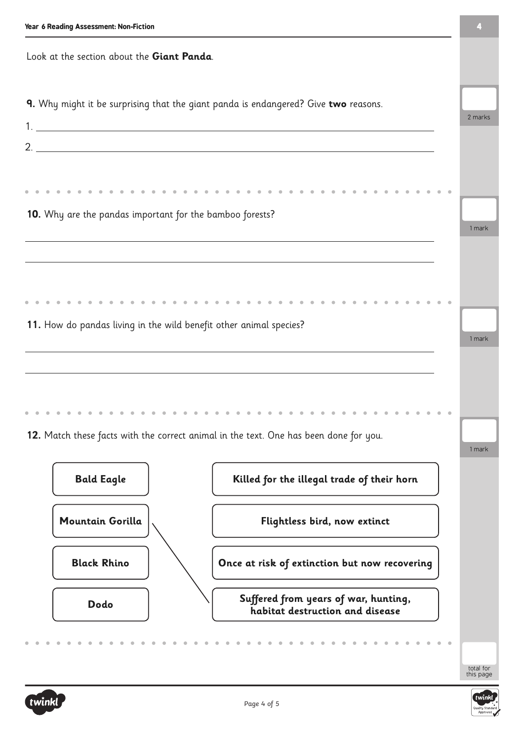| Year 6 Reading Assessment: Non-Fiction                                              |                                                                                       |        |  |  |
|-------------------------------------------------------------------------------------|---------------------------------------------------------------------------------------|--------|--|--|
| Look at the section about the Giant Panda.                                          |                                                                                       |        |  |  |
| 9. Why might it be surprising that the giant panda is endangered? Give two reasons. |                                                                                       |        |  |  |
|                                                                                     |                                                                                       |        |  |  |
|                                                                                     |                                                                                       |        |  |  |
| 10. Why are the pandas important for the bamboo forests?                            |                                                                                       | 1 mark |  |  |
|                                                                                     |                                                                                       |        |  |  |
| 11. How do pandas living in the wild benefit other animal species?                  |                                                                                       |        |  |  |
|                                                                                     |                                                                                       | 1 mark |  |  |
|                                                                                     |                                                                                       |        |  |  |
|                                                                                     | 12. Match these facts with the correct animal in the text. One has been done for you. | 1 mark |  |  |
| <b>Bald Eagle</b>                                                                   | Killed for the illegal trade of their horn                                            |        |  |  |
| <b>Mountain Gorilla</b>                                                             | Flightless bird, now extinct                                                          |        |  |  |
| <b>Black Rhino</b>                                                                  | Once at risk of extinction but now recovering                                         |        |  |  |
| Dodo                                                                                | Suffered from years of war, hunting,<br>habitat destruction and disease               |        |  |  |
|                                                                                     |                                                                                       |        |  |  |





total for this page